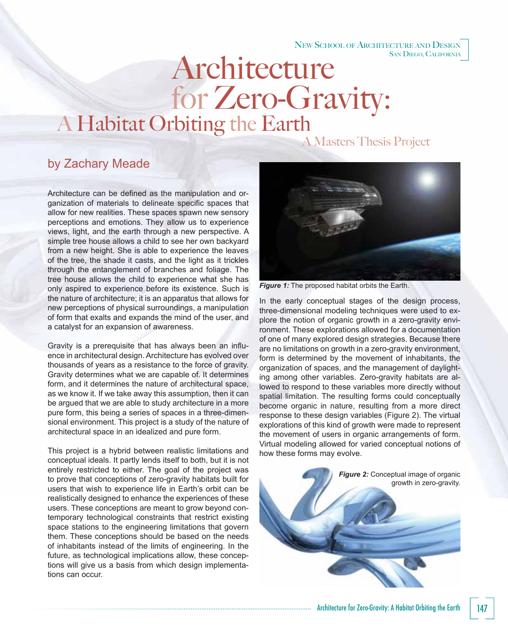## NEW SCHOOL OF ARCHITECTURE AND DESIGN SAN DIEGO, CALIFORNIA

## for Zero-Gravity:<br>A Habitat Orbiting the Earth Architecture

A Masters Thesis Project

## by Zachary Meade

Architecture can be defined as the manipulation and organization of materials to delineate specific spaces that allow for new realities. These spaces spawn new sensory perceptions and emotions. They allow us to experience views, light, and the earth through a new perspective. A simple tree house allows a child to see her own backyard from a new height. She is able to experience the leaves of the tree, the shade it casts, and the light as it trickles through the entanglement of branches and foliage. The tree house allows the child to experience what she has only aspired to experience before its existence. Such is the nature of architecture; it is an apparatus that allows for new perceptions of physical surroundings, a manipulation of form that exalts and expands the mind of the user, and a catalyst for an expansion of awareness.

Gravity is a prerequisite that has always been an influence in architectural design. Architecture has evolved over thousands of years as a resistance to the force of gravity. Gravity determines what we are capable of. It determines form, and it determines the nature of architectural space, as we know it. If we take away this assumption, then it can be argued that we are able to study architecture in a more pure form, this being a series of spaces in a three-dimensional environment. This project is a study of the nature of architectural space in an idealized and pure form.

This project is a hybrid between realistic limitations and conceptual ideals. It partly lends itself to both, but it is not entirely restricted to either. The goal of the project was to prove that conceptions of zero-gravity habitats built for users that wish to experience life in Earth's orbit can be realistically designed to enhance the experiences of these users. These conceptions are meant to grow beyond contemporary technological constraints that restrict existing space stations to the engineering limitations that govern them. These conceptions should be based on the needs of inhabitants instead of the limits of engineering. In the future, as technological implications allow, these conceptions will give us a basis from which design implementations can occur.



**Figure 1:** The proposed habitat orbits the Earth.

In the early conceptual stages of the design process, three-dimensional modeling techniques were used to explore the notion of organic growth in a zero-gravity environment. These explorations allowed for a documentation of one of many explored design strategies. Because there are no limitations on growth in a zero-gravity environment, form is determined by the movement of inhabitants, the organization of spaces, and the management of daylighting among other variables. Zero-gravity habitats are allowed to respond to these variables more directly without spatial limitation. The resulting forms could conceptually become organic in nature, resulting from a more direct response to these design variables (Figure 2). The virtual explorations of this kind of growth were made to represent the movement of users in organic arrangements of form. Virtual modeling allowed for varied conceptual notions of how these forms may evolve.

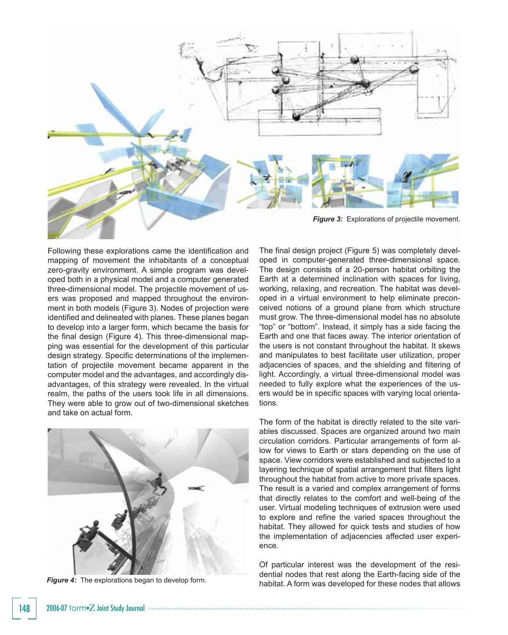

Following these explorations came the identification and mapping of movement the inhabitants of a conceptual zero-gravity environment. A simple program was developed both in a physical model and a computer generated three-dimensional model. The projectile movement of users was proposed and mapped throughout the environment in both models (Figure 3). Nodes of projection were identified and delineated with planes. These planes began to develop into a larger form, which became the basis for the final design (Figure 4). This three-dimensional mapping was essential for the development of this particular design strategy. Specific determinations of the implementation of projectile movement became apparent in the computer model and the advantages, and accordingly disadvantages, of this strategy were revealed. In the virtual realm, the paths of the users took life in all dimensions. They were able to grow out of two-dimensional sketches and take on actual form.



*Figure 4:* The explorations began to develop form.

The final design project (Figure 5) was completely developed in computer-generated three-dimensional space. The design consists of a 20-person habitat orbiting the Earth at a determined inclination with spaces for living, working, relaxing, and recreation. The habitat was developed in a virtual environment to help eliminate preconceived notions of a ground plane from which structure must grow. The three-dimensional model has no absolute "top" or "bottom". Instead, it simply has a side facing the Earth and one that faces away. The interior orientation of the users is not constant throughout the habitat. It skews and manipulates to best facilitate user utilization, proper adjacencies of spaces, and the shielding and filtering of light. Accordingly, a virtual three-dimensional model was needed to fully explore what the experiences of the users would be in specific spaces with varying local orientations.

The form of the habitat is directly related to the site variables discussed. Spaces are organized around two main circulation corridors. Particular arrangements of form allow for views to Earth or stars depending on the use of space. View corridors were established and subjected to a layering technique of spatial arrangement that filters light throughout the habitat from active to more private spaces. The result is a varied and complex arrangement of forms that directly relates to the comfort and well-being of the user. Virtual modeling techniques of extrusion were used to explore and refine the varied spaces throughout the habitat. They allowed for quick tests and studies of how the implementation of adjacencies affected user experience.

Of particular interest was the development of the residential nodes that rest along the Earth-facing side of the habitat. A form was developed for these nodes that allows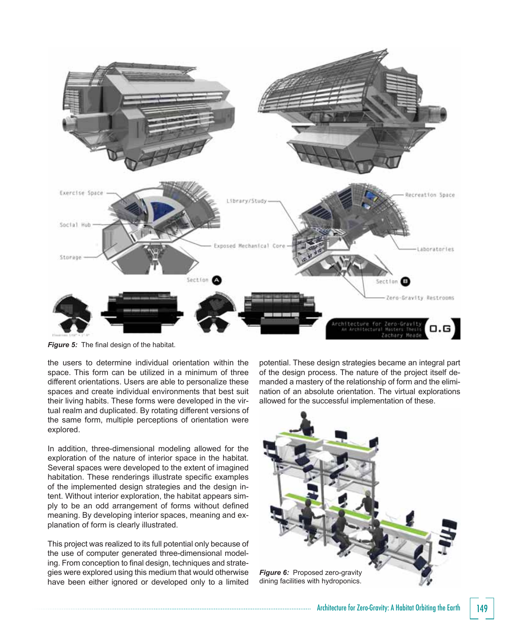

Figure 5: The final design of the habitat.

the users to determine individual orientation within the space. This form can be utilized in a minimum of three different orientations. Users are able to personalize these spaces and create individual environments that best suit their living habits. These forms were developed in the virtual realm and duplicated. By rotating different versions of the same form, multiple perceptions of orientation were explored.

In addition, three-dimensional modeling allowed for the exploration of the nature of interior space in the habitat. Several spaces were developed to the extent of imagined habitation. These renderings illustrate specific examples of the implemented design strategies and the design intent. Without interior exploration, the habitat appears simply to be an odd arrangement of forms without defined meaning. By developing interior spaces, meaning and explanation of form is clearly illustrated.

This project was realized to its full potential only because of the use of computer generated three-dimensional modeling. From conception to final design, techniques and strategies were explored using this medium that would otherwise have been either ignored or developed only to a limited

potential. These design strategies became an integral part of the design process. The nature of the project itself demanded a mastery of the relationship of form and the elimination of an absolute orientation. The virtual explorations allowed for the successful implementation of these.



Architecture for Zero-Gravity: A Habitat Orbiting the Earth 149